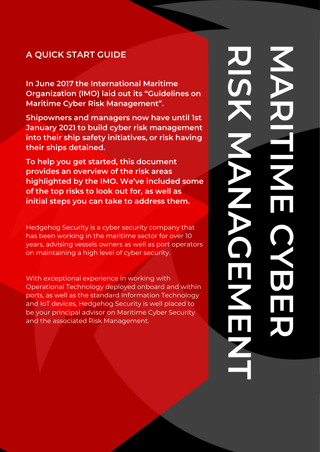## **A QUICK START GUIDE**

**In June 2017 the International Maritime Organization (IMO) laid out its "Guidelines on Maritime Cyber Risk Management".** 

**MARITIME CYBER RISK MANAGEMENT**

**Shipowners and managers now have until 1st January 2021 to build cyber risk management into their ship safety initiatives, or risk having their ships detained.**

**To help you get started, this document provides an overview of the risk areas highlighted by the IMO. We've included some of the top risks to look out for, as well as initial steps you can take to address them.**

Hedgehog Security is a cyber security company that has been working in the maritime sector for over 10 years, advising vessels owners as well as port operators on maintaining a high level of cyber security.

With exceptional experience in working with Operational Technology deployed onboard and within ports, as well as the standard Information Technology and IoT devices, Hedgehog Security is well placed to be your principal advisor on Maritime Cyber Security and the associated Risk Management.

Call us on +350 200 3133 450 200 3134 3134 3233 4450 3133

Visit our website @ hedgehogsecurity.gi and hedgehogsecurity.co.uk

**RISKA AREINE REALLY**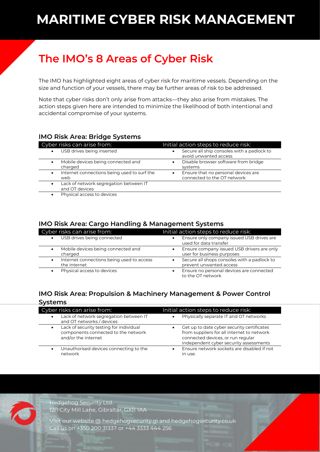# **The IMO's 8 Areas of Cyber Risk**

The IMO has highlighted eight areas of cyber risk for maritime vessels. Depending on the size and function of your vessels, there may be further areas of risk to be addressed.

Note that cyber risks don't only arise from attacks—they also arise from mistakes. The action steps given here are intended to minimize the likelihood of both intentional and accidental compromise of your systems.

#### **IMO Risk Area: Bridge Systems**

| Cyber risks can arise from:                              | Initial action steps to reduce risk:                                |
|----------------------------------------------------------|---------------------------------------------------------------------|
| USB drives being inserted                                | Secure all ship consoles with a padlock to<br>avoid unwanted access |
| Mobile devices being connected and<br>charged            | Disable browser software from bridge<br>systems                     |
| Internet connections being used to surf the<br>web       | Ensure that no personal devices are<br>connected to the OT network  |
| Lack of network segregation between IT<br>and OT devices |                                                                     |
| Physical access to devices                               |                                                                     |

## **IMO Risk Area: Cargo Handling & Management Systems**

| TMO RISK Area: Cargo Handling & Management Systems             |                                                                                  |  |
|----------------------------------------------------------------|----------------------------------------------------------------------------------|--|
| Cyber risks can arise from:                                    | Initial action steps to reduce risk:                                             |  |
| USB drives being connected                                     | Ensure only company issued USB drives are<br>$\bullet$<br>used for data transfer |  |
| Mobile devices being connected and<br>charged                  | Ensure company issued USB drivers are only<br>user for business purposes         |  |
| Internet connections being used to access<br>٠<br>the internet | Secure all shops consoles with a padlock to<br>prevent unwanted access           |  |
| Physical access to devices                                     | Ensure no personal devices are connected<br>to the OT network                    |  |

#### **IMO Risk Area: Propulsion & Machinery Management & Power Control Systems**

| Cyber risks can arise from:                                                                           | Initial action steps to reduce risk:                                                                                                                                                 |
|-------------------------------------------------------------------------------------------------------|--------------------------------------------------------------------------------------------------------------------------------------------------------------------------------------|
| Lack of network segregation between IT<br>$\bullet$<br>and OT networks / devices                      | Physically separate IT and OT networks                                                                                                                                               |
| Lack of security testing for individual<br>components connected to the network<br>and/or the internet | Get up to date cyber security certificates<br>$\bullet$<br>from suppliers for all internet to network<br>connected devices, or run regular<br>independent cyber security assessments |
| Unauthorised devices connecting to the<br>$\bullet$<br>network                                        | Ensure network sockets are disabled if not<br>$\bullet$<br>in use.                                                                                                                   |



Hedgehog Security Ltd.

12/1 City Mill Lane, Gibraltar, GX11 1AA

Visit our website @ hedgehogsecurity.gi and hedgehogsecurity.co.uk Call us on +350 200 31337 or +44 3333 444 256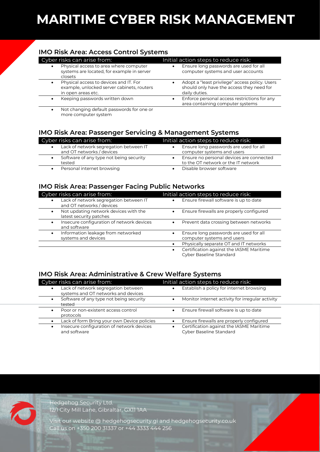# **MARITIME CYBER RISK MANAGEMENT**

#### **IMO Risk Area: Access Control Systems**

| Cyber risks can arise from:                                                                                             | Initial action steps to reduce risk:                                                                         |
|-------------------------------------------------------------------------------------------------------------------------|--------------------------------------------------------------------------------------------------------------|
| Physical access to area where computer<br>$\bullet$<br>systems are located, for example in server<br>closets            | Ensure long passwords are used for all<br>computer systems and user accounts                                 |
| Physical access to devices and IT. For<br>$\bullet$<br>example, unlocked server cabinets, routers<br>in open areas etc. | Adopt a "least privilege" access policy. Users<br>should only have the access they need for<br>daily duties. |
| Keeping passwords written down<br>$\bullet$                                                                             | Enforce personal access restrictions for any<br>area containing computer systems                             |
| Let abonding default possurerds for one or                                                                              |                                                                                                              |

• Not changing default passwords for one or more computer system

#### **IMO Risk Area: Passenger Servicing & Management Systems**

| Cyber risks can arise from:             | Initial action steps to reduce risk:     |
|-----------------------------------------|------------------------------------------|
| Lack of network segregation between IT  | Ensure long passwords are used for all   |
| and OT networks / devices               | computer systems and users               |
| Software of any type not being security | Ensure no personal devices are connected |
| tested                                  | to the OT network or the IT network      |
| Personal internet browsing              | Disable browser software                 |

#### **IMO Risk Area: Passenger Facing Public Networks**

| Cyber risks can arise from:                                            | Initial action steps to reduce risk:                                              |
|------------------------------------------------------------------------|-----------------------------------------------------------------------------------|
| Lack of network segregation between IT<br>and OT networks / devices    | Ensure firewall software is up to date<br>$\bullet$                               |
| Not updating network devices with the<br>latest security patches       | Ensure firewalls are properly configured                                          |
| Insecure configuration of network devices<br>$\bullet$<br>and software | Prevent data crossing between networks<br>$\bullet$                               |
| Information leakage from networked<br>$\bullet$<br>systems and devices | Ensure long passwords are used for all<br>$\bullet$<br>computer systems and users |
|                                                                        | Physically separate OT and IT networks<br>$\bullet$                               |
|                                                                        | Certification against the IASME Maritime<br>$\bullet$<br>Cyber Baseline Standard  |

#### **IMO Risk Area: Administrative & Crew Welfare Systems**

| Cyber risks can arise from:                               | Initial action steps to reduce risk:                                             |
|-----------------------------------------------------------|----------------------------------------------------------------------------------|
| Lack of network segregation between                       | Establish a policy for internet browsing                                         |
| systems and OT networks and devices                       | $\bullet$                                                                        |
| Software of any type not being security                   | Monitor internet activity for irregular activity                                 |
| tested                                                    | $\bullet$                                                                        |
| Poor or non-existent access control                       | Ensure firewall software is up to date                                           |
| protocols                                                 | $\bullet$                                                                        |
| Lack of form Bring your own Device policies               | Ensure firewalls are properly configured                                         |
| Insecure configuration of network devices<br>and software | Certification against the IASME Maritime<br>$\bullet$<br>Cyber Baseline Standard |



Hedgehog Security Ltd. 12/1 City Mill Lane, Gibraltar, GX11 1AA

Visit our website @ hedgehogsecurity.gi and hedgehogsecurity.co.uk Call us on +350 200 31337 or +44 3333 444 256